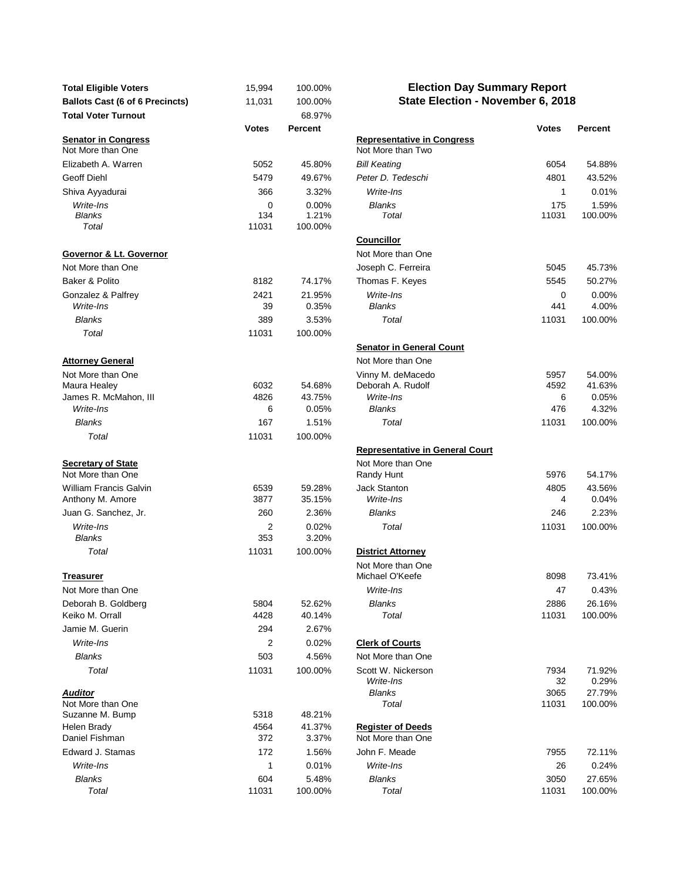| <b>Total Eligible Voters</b>                    | 15,994       | 100.00%          | <b>Election Day Summary Report</b>                     |               |                   |
|-------------------------------------------------|--------------|------------------|--------------------------------------------------------|---------------|-------------------|
| <b>Ballots Cast (6 of 6 Precincts)</b>          | 11,031       | 100.00%          | State Election - November 6, 2018                      |               |                   |
| <b>Total Voter Turnout</b>                      |              | 68.97%           |                                                        |               |                   |
|                                                 | <b>Votes</b> | Percent          |                                                        | <b>Votes</b>  | Percent           |
| <b>Senator in Congress</b><br>Not More than One |              |                  | <b>Representative in Congress</b><br>Not More than Two |               |                   |
| Elizabeth A. Warren                             | 5052         | 45.80%           | <b>Bill Keating</b>                                    | 6054          | 54.88%            |
| <b>Geoff Diehl</b>                              | 5479         | 49.67%           | Peter D. Tedeschi                                      | 4801          | 43.52%            |
| Shiva Ayyadurai                                 | 366          | 3.32%            | Write-Ins                                              | $\mathbf{1}$  | 0.01%             |
| Write-Ins                                       | $\mathbf 0$  | 0.00%            | <b>Blanks</b>                                          | 175           | 1.59%             |
| <b>Blanks</b>                                   | 134          | 1.21%            | Total                                                  | 11031         | 100.00%           |
| Total                                           | 11031        | 100.00%          |                                                        |               |                   |
| Governor & Lt. Governor                         |              |                  | <b>Councillor</b><br>Not More than One                 |               |                   |
| Not More than One                               |              |                  | Joseph C. Ferreira                                     | 5045          | 45.73%            |
| Baker & Polito                                  | 8182         | 74.17%           | Thomas F. Keyes                                        | 5545          | 50.27%            |
| Gonzalez & Palfrey                              | 2421         | 21.95%           | Write-Ins                                              | 0             | $0.00\%$          |
| Write-Ins                                       | 39           | 0.35%            | <b>Blanks</b>                                          | 441           | 4.00%             |
| <b>Blanks</b>                                   | 389          | 3.53%            | Total                                                  | 11031         | 100.00%           |
| Total                                           | 11031        | 100.00%          |                                                        |               |                   |
|                                                 |              |                  | <b>Senator in General Count</b>                        |               |                   |
| <b>Attorney General</b>                         |              |                  | Not More than One                                      |               |                   |
| Not More than One                               |              |                  | Vinny M. deMacedo                                      | 5957          | 54.00%            |
| Maura Healey                                    | 6032         | 54.68%           | Deborah A. Rudolf                                      | 4592          | 41.63%            |
| James R. McMahon, III                           | 4826         | 43.75%           | Write-Ins                                              | 6             | $0.05\%$          |
| Write-Ins                                       | 6            | 0.05%            | <b>Blanks</b>                                          | 476           | 4.32%             |
| <b>Blanks</b>                                   | 167          | 1.51%            | Total                                                  | 11031         | 100.00%           |
| Total                                           | 11031        | 100.00%          |                                                        |               |                   |
|                                                 |              |                  | <b>Representative in General Court</b>                 |               |                   |
| <b>Secretary of State</b><br>Not More than One  |              |                  | Not More than One<br>Randy Hunt                        | 5976          | 54.17%            |
| <b>William Francis Galvin</b>                   | 6539         | 59.28%           | <b>Jack Stanton</b>                                    | 4805          | 43.56%            |
| Anthony M. Amore                                | 3877         | 35.15%           | Write-Ins                                              | 4             | 0.04%             |
| Juan G. Sanchez, Jr.                            | 260          | 2.36%            | <b>Blanks</b>                                          | 246           | 2.23%             |
| Write-Ins                                       | 2            | 0.02%            | Total                                                  | 11031         | 100.00%           |
| <b>Blanks</b>                                   | 353          | 3.20%            |                                                        |               |                   |
| Total                                           | 11031        | 100.00%          | <b>District Attorney</b>                               |               |                   |
|                                                 |              |                  | Not More than One<br>Michael O'Keefe                   | 8098          | 73.41%            |
| <u>Treasurer</u>                                |              |                  | Write-Ins                                              | 47            | 0.43%             |
| Not More than One<br>Deborah B. Goldberg        | 5804         | 52.62%           | Blanks                                                 | 2886          |                   |
| Keiko M. Orrall                                 | 4428         | 40.14%           | Total                                                  | 11031         | 26.16%<br>100.00% |
| Jamie M. Guerin                                 | 294          | 2.67%            |                                                        |               |                   |
| Write-Ins                                       | 2            | 0.02%            | <b>Clerk of Courts</b>                                 |               |                   |
| <b>Blanks</b>                                   | 503          | 4.56%            | Not More than One                                      |               |                   |
| Total                                           | 11031        | 100.00%          | Scott W. Nickerson                                     | 7934          | 71.92%            |
|                                                 |              |                  | Write-Ins                                              | 32            | 0.29%             |
| <b>Auditor</b>                                  |              |                  | <b>Blanks</b>                                          | 3065          | 27.79%            |
| Not More than One                               |              |                  | Total                                                  | 11031         | 100.00%           |
| Suzanne M. Bump                                 | 5318         | 48.21%           |                                                        |               |                   |
| Helen Brady                                     | 4564         | 41.37%           | <b>Register of Deeds</b>                               |               |                   |
| Daniel Fishman                                  | 372          | 3.37%            | Not More than One                                      |               |                   |
| Edward J. Stamas                                | 172          | 1.56%            | John F. Meade                                          | 7955          | 72.11%            |
| Write-Ins                                       | 1            | 0.01%            | Write-Ins                                              | 26            | 0.24%             |
| <b>Blanks</b><br>$T_{old}$                      | 604<br>11021 | 5.48%<br>100.001 | <b>Blanks</b><br>$T_{old}$                             | 3050<br>11021 | 27.65%<br>100.001 |

## **Election Day Summary Report State Election - November 6, 2018**

|                                                 | <b>Votes</b> | <b>Percent</b> |                                                        | <b>Votes</b> | <b>Percent</b> |
|-------------------------------------------------|--------------|----------------|--------------------------------------------------------|--------------|----------------|
| <b>Senator in Congress</b><br>Not More than One |              |                | <b>Representative in Congress</b><br>Not More than Two |              |                |
| Elizabeth A. Warren                             | 5052         | 45.80%         | <b>Bill Keating</b>                                    | 6054         | 54.88%         |
| Geoff Diehl                                     | 5479         | 49.67%         | Peter D. Tedeschi                                      | 4801         | 43.52%         |
| Shiva Ayyadurai                                 | 366          | 3.32%          | Write-Ins                                              | 1            | 0.01%          |
| Write-Ins                                       | 0            | 0.00%          | <b>Blanks</b>                                          | 175          | 1.59%          |
| Blanks                                          | 134          | 1.21%          | Total                                                  | 11031        | 100.00%        |
| Total                                           | 11031        | 100.00%        |                                                        |              |                |
|                                                 |              |                | <b>Councillor</b>                                      |              |                |
| Governor & Lt. Governor                         |              |                | Not More than One                                      |              |                |
| Not More than One                               |              |                | Joseph C. Ferreira                                     | 5045         | 45.73%         |
| Baker & Polito                                  | 8182         | 74.17%         | Thomas F. Keyes                                        | 5545         | 50.27%         |
| Gonzalez & Palfrey                              | 2421         | 21.95%         | Write-Ins                                              | 0            | 0.00%          |
| Write-Ins                                       | 39           | 0.35%          | <b>Blanks</b>                                          | 441          | 4.00%          |
| <b>Blanks</b>                                   | 389          | 3.53%          | Total                                                  | 11031        | 100.00%        |
| Total                                           | 11031        | 100.00%        |                                                        |              |                |
|                                                 |              |                | <b>Senator in General Count</b>                        |              |                |
| <b>Attorney General</b>                         |              |                | Not More than One                                      |              |                |
| Not More than One                               |              |                | Vinny M. deMacedo                                      | 5957         | 54.00%         |
| Maura Healey                                    | 6032         | 54.68%         | Deborah A. Rudolf                                      | 4592         | 41.63%         |
| James R. McMahon, III                           | 4826         | 43.75%         | Write-Ins                                              | 6            | 0.05%          |
| Write-Ins                                       | 6            | 0.05%          | <b>Blanks</b>                                          | 476          | 4.32%          |
| <b>Blanks</b>                                   | 167          | 1.51%          | Total                                                  | 11031        | 100.00%        |
| Total                                           | 11031        | 100.00%        |                                                        |              |                |
|                                                 |              |                | <b>Representative in General Court</b>                 |              |                |
| <b>Secretary of State</b><br>Not More than One  |              |                | Not More than One<br>Randy Hunt                        | 5976         | 54.17%         |
| William Francis Galvin                          | 6539         | 59.28%         | <b>Jack Stanton</b>                                    | 4805         | 43.56%         |
| Anthony M. Amore                                | 3877         | 35.15%         | Write-Ins                                              | 4            | 0.04%          |
| Juan G. Sanchez, Jr.                            | 260          | 2.36%          | <b>Blanks</b>                                          | 246          | 2.23%          |
| Write-Ins                                       | 2            | 0.02%          | Total                                                  | 11031        | 100.00%        |
| <b>Blanks</b>                                   | 353          | 3.20%          |                                                        |              |                |
| Total                                           | 11031        | 100.00%        | <b>District Attorney</b>                               |              |                |
|                                                 |              |                | Not More than One                                      |              |                |
| Treasurer                                       |              |                | Michael O'Keefe                                        | 8098         | 73.41%         |
| Not More than One                               |              |                | Write-Ins                                              | 47           | 0.43%          |
| Deborah B. Goldberg                             | 5804         | 52.62%         | <b>Blanks</b>                                          | 2886         | 26.16%         |
| Keiko M. Orrall                                 | 4428         | 40.14%         | Total                                                  | 11031        | 100.00%        |
| Jamie M. Guerin                                 | 294          | 2.67%          |                                                        |              |                |
| Write-Ins                                       | 2            | 0.02%          | <b>Clerk of Courts</b>                                 |              |                |
| Blanks                                          | 503          | 4.56%          | Not More than One                                      |              |                |
| Total                                           | 11031        | 100.00%        | Scott W. Nickerson                                     | 7934         | 71.92%         |
|                                                 |              |                | Write-Ins                                              | 32           | 0.29%          |
| Auditor                                         |              |                | <b>Blanks</b>                                          | 3065         | 27.79%         |
| Not More than One<br>Suzanne M. Bump            | 5318         | 48.21%         | Total                                                  | 11031        | 100.00%        |
| Helen Brady                                     | 4564         | 41.37%         | <b>Register of Deeds</b>                               |              |                |
| Daniel Fishman                                  | 372          | 3.37%          | Not More than One                                      |              |                |
| Edward J. Stamas                                | 172          | 1.56%          | John F. Meade                                          | 7955         | 72.11%         |
| Write-Ins                                       | 1            | 0.01%          | Write-Ins                                              | 26           | 0.24%          |
| Blanks                                          | 604          | 5.48%          | <b>Blanks</b>                                          | 3050         | 27.65%         |
| Total                                           | 11031        | 100.00%        | Total                                                  | 11031        | 100.00%        |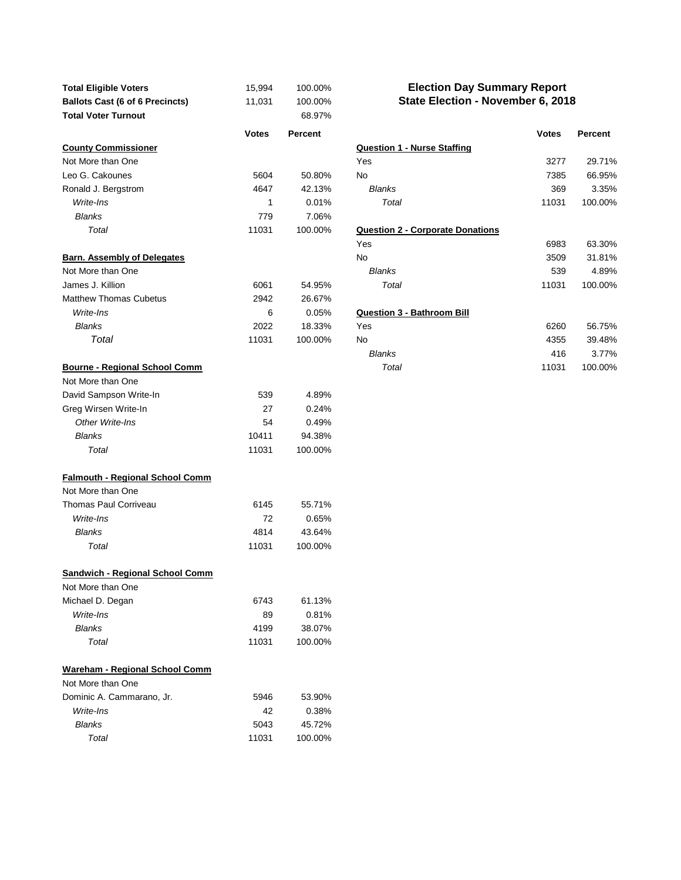| <b>Total Eligible Voters</b><br><b>Ballots Cast (6 of 6 Precincts)</b> | 15,994<br>11,031 | 100.00%<br>100.00% | <b>Election Day Summary Report</b><br>State Election - November 6, 2018 |              |                 |
|------------------------------------------------------------------------|------------------|--------------------|-------------------------------------------------------------------------|--------------|-----------------|
| <b>Total Voter Turnout</b>                                             | <b>Votes</b>     | 68.97%<br>Percent  |                                                                         | <b>Votes</b> | Percent         |
| <b>County Commissioner</b>                                             |                  |                    | <b>Question 1 - Nurse Staffing</b>                                      |              |                 |
| Not More than One                                                      |                  |                    | Yes                                                                     | 3277         | 29.71%          |
| Leo G. Cakounes                                                        | 5604             | 50.80%             | No                                                                      | 7385         | 66.95%          |
| Ronald J. Bergstrom                                                    | 4647             | 42.13%             | <b>Blanks</b>                                                           | 369          | 3.35%           |
| Write-Ins                                                              | 1                | 0.01%              | Total                                                                   | 11031        | 100.00%         |
| <b>Blanks</b>                                                          | 779              | 7.06%              |                                                                         |              |                 |
| Total                                                                  | 11031            | 100.00%            | <b>Question 2 - Corporate Donations</b>                                 |              |                 |
|                                                                        |                  |                    | Yes                                                                     | 6983         | 63.30%          |
| <b>Barn. Assembly of Delegates</b>                                     |                  |                    | No                                                                      | 3509         | 31.81%          |
| Not More than One<br>James J. Killion                                  |                  |                    | <b>Blanks</b><br>Total                                                  | 539          | 4.89%           |
| <b>Matthew Thomas Cubetus</b>                                          | 6061             | 54.95%             |                                                                         | 11031        | 100.00%         |
| Write-Ins                                                              | 2942             | 26.67%             |                                                                         |              |                 |
| <b>Blanks</b>                                                          | 6<br>2022        | 0.05%<br>18.33%    | <b>Question 3 - Bathroom Bill</b><br>Yes                                | 6260         | 56.75%          |
| Total                                                                  | 11031            | 100.00%            | No                                                                      | 4355         |                 |
|                                                                        |                  |                    | <b>Blanks</b>                                                           | 416          | 39.48%<br>3.77% |
| <b>Bourne - Regional School Comm</b>                                   |                  |                    | Total                                                                   | 11031        | 100.00%         |
| Not More than One                                                      |                  |                    |                                                                         |              |                 |
| David Sampson Write-In                                                 | 539              | 4.89%              |                                                                         |              |                 |
| Greg Wirsen Write-In                                                   | 27               | 0.24%              |                                                                         |              |                 |
| Other Write-Ins                                                        | 54               | 0.49%              |                                                                         |              |                 |
| <b>Blanks</b>                                                          | 10411            | 94.38%             |                                                                         |              |                 |
| Total                                                                  | 11031            | 100.00%            |                                                                         |              |                 |
| <b>Falmouth - Regional School Comm</b>                                 |                  |                    |                                                                         |              |                 |
| Not More than One                                                      |                  |                    |                                                                         |              |                 |
| <b>Thomas Paul Corriveau</b>                                           | 6145             | 55.71%             |                                                                         |              |                 |
| Write-Ins                                                              | 72               | 0.65%              |                                                                         |              |                 |
| <b>Blanks</b>                                                          | 4814             | 43.64%             |                                                                         |              |                 |
| Total                                                                  | 11031            | 100.00%            |                                                                         |              |                 |
| <b>Sandwich - Regional School Comm</b>                                 |                  |                    |                                                                         |              |                 |
| Not More than One                                                      |                  |                    |                                                                         |              |                 |
| Michael D. Degan                                                       | 6743             | 61.13%             |                                                                         |              |                 |
| Write-Ins                                                              | 89               | 0.81%              |                                                                         |              |                 |
| <b>Blanks</b>                                                          | 4199             | 38.07%             |                                                                         |              |                 |
| Total                                                                  | 11031            | 100.00%            |                                                                         |              |                 |
| Wareham - Regional School Comm                                         |                  |                    |                                                                         |              |                 |
| Not More than One                                                      |                  |                    |                                                                         |              |                 |
| Dominic A. Cammarano, Jr.                                              | 5946             | 53.90%             |                                                                         |              |                 |
| Write-Ins                                                              | 42               | 0.38%              |                                                                         |              |                 |
| <b>Blanks</b>                                                          | 5043             | 45.72%             |                                                                         |              |                 |
| Total                                                                  | 11031            | 100.00%            |                                                                         |              |                 |

## **State Election - November 6, 2018 Election Day Summary Report**

| Votes | <b>Percent</b> |                                         | <b>Votes</b> | Percent |
|-------|----------------|-----------------------------------------|--------------|---------|
|       |                | <b>Question 1 - Nurse Staffing</b>      |              |         |
|       |                | Yes                                     | 3277         | 29.71%  |
| 5604  | 50.80%         | No                                      | 7385         | 66.95%  |
| 4647  | 42.13%         | <b>Blanks</b>                           | 369          | 3.35%   |
| 1     | 0.01%          | Total                                   | 11031        | 100.00% |
| 779   | 7.06%          |                                         |              |         |
| 11031 | 100.00%        | <b>Question 2 - Corporate Donations</b> |              |         |
|       |                | Yes                                     | 6983         | 63.30%  |
|       |                | No                                      | 3509         | 31.81%  |
|       |                | <b>Blanks</b>                           | 539          | 4.89%   |
| 6061  | 54.95%         | Total                                   | 11031        | 100.00% |
| 2942  | 26.67%         |                                         |              |         |
| 6     | 0.05%          | <b>Question 3 - Bathroom Bill</b>       |              |         |
| 2022  | 18.33%         | Yes                                     | 6260         | 56.75%  |
| 11031 | 100.00%        | No                                      | 4355         | 39.48%  |
|       |                | Blanks                                  | 416          | 3.77%   |
|       |                | Total                                   | 11031        | 100.00% |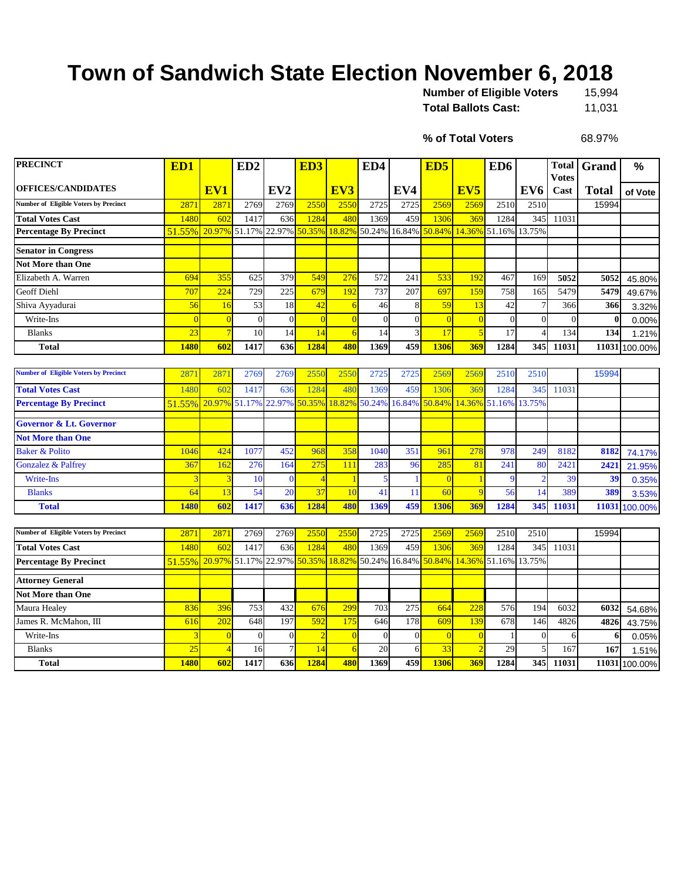## **Town of Sandwich State Election November 6, 2018**

| <b>Number of Eligible Voters</b> | 15.994 |
|----------------------------------|--------|
| <b>Total Ballots Cast:</b>       | 11,031 |

**% of Total Voters**

68.97%

| <b>PRECINCT</b>                              | ED1            |                | ED <sub>2</sub> |                 | ED <sub>3</sub> |                         | ED4      |                | ED <sub>5</sub>                           |                 | ED <sub>6</sub>             |                 | <b>Total</b><br><b>Votes</b> | Grand        | %             |
|----------------------------------------------|----------------|----------------|-----------------|-----------------|-----------------|-------------------------|----------|----------------|-------------------------------------------|-----------------|-----------------------------|-----------------|------------------------------|--------------|---------------|
| <b>OFFICES/CANDIDATES</b>                    |                | EV1            |                 | EV <sub>2</sub> |                 | EV3                     |          | EV4            |                                           | EV <sub>5</sub> |                             | EV <sub>6</sub> | Cast                         | <b>Total</b> | of Vote       |
| <b>Number of Eligible Voters by Precinct</b> | 2871           | 2871           | 2769            | 2769            | 2550            | 2550                    | 2725     | 2725           | 2569                                      | 2569            | 2510                        | 2510            |                              | 15994        |               |
| <b>Total Votes Cast</b>                      | 1480           | 602            | 1417            | 636             | 1284            | 480                     | 1369     | 459            | 1306                                      | 369             | 1284                        | 345             | 11031                        |              |               |
| <b>Percentage By Precinct</b>                | 51.55%         | 20.97%         | 51.17%          |                 | 22.97% 50.35%   | 18.82%                  | 50.24%   | 16.84%         | 50.84%                                    | 14.36%          | 51.16%                      | 13.75%          |                              |              |               |
| <b>Senator in Congress</b>                   |                |                |                 |                 |                 |                         |          |                |                                           |                 |                             |                 |                              |              |               |
| <b>Not More than One</b>                     |                |                |                 |                 |                 |                         |          |                |                                           |                 |                             |                 |                              |              |               |
| Elizabeth A. Warren                          | 694            | 355            | 625             | 379             | 549             | 276                     | 572      | 241            | 533                                       | 192             | 467                         | 169             | 5052                         | 5052         | 45.80%        |
| Geoff Diehl                                  | 707            | 224            | 729             | 225             | 679             | 192                     | 737      | 207            | 697                                       | 159             | 758                         | 165             | 5479                         | 5479         | 49.67%        |
| Shiva Ayyadurai                              | 56             | 16             | $\overline{53}$ | 18              | 42              | 6                       | 46       | 8              | 59                                        | 13              | 42                          | $\overline{7}$  | 366                          | 366          | 3.32%         |
| Write-Ins                                    | $\overline{0}$ | $\overline{0}$ | $\overline{0}$  | $\mathbf{0}$    | $\overline{0}$  | $\overline{0}$          | $\theta$ | $\overline{0}$ | $\overline{0}$                            | $\overline{0}$  | $\overline{0}$              | $\theta$        | $\theta$                     | $\bf{0}$     | 0.00%         |
| <b>Blanks</b>                                | 23             |                | 10              | 14              | 14              | 6                       | 14       | 3              | 17                                        | $\overline{5}$  | 17                          | $\overline{4}$  | 134                          | 134          | 1.21%         |
| <b>Total</b>                                 | 1480           | 602            | 1417            | 636             | 1284            | 480                     | 1369     | 459            | 1306                                      | 369             | 1284                        | 345             | 11031                        | 11031        | 100.00%       |
|                                              |                |                |                 |                 |                 |                         |          |                |                                           |                 |                             |                 |                              |              |               |
| <b>Number of Eligible Voters by Precinct</b> | 2871           | 2871           | 2769            | 2769            | 2550            | 2550                    | 2725     | 2725           | 2569                                      | 2569            | 2510                        | 2510            |                              | 15994        |               |
| <b>Total Votes Cast</b>                      | 1480           | 602            | 1417            | 636             | 1284            | 480                     | 1369     | 459            | 1306                                      | 369             | 1284                        | 345             | 11031                        |              |               |
| <b>Percentage By Precinct</b>                | 51.55%         | 20.97%         | 51.17%          |                 |                 | 22.97% 50.35% 18.82%    | 50.24%   | 16.84%         |                                           |                 | 50.84% 14.36% 51.16% 13.75% |                 |                              |              |               |
| <b>Governor &amp; Lt. Governor</b>           |                |                |                 |                 |                 |                         |          |                |                                           |                 |                             |                 |                              |              |               |
| <b>Not More than One</b>                     |                |                |                 |                 |                 |                         |          |                |                                           |                 |                             |                 |                              |              |               |
| <b>Baker &amp; Polito</b>                    | 1046           | 424            | 1077            | 452             | 968             | 358                     | 1040     | 351            | 961                                       | 278             | 978                         | 249             | 8182                         | 8182         | 74.17%        |
| <b>Gonzalez &amp; Palfrey</b>                | 367            | 162            | 276             | 164             | 275             | 111                     | 283      | 96             | 285                                       | 81              | 241                         | 80              | 2421                         | 2421         | 21.95%        |
| Write-Ins                                    |                |                | 10              | $\theta$        | $\overline{4}$  | $\overline{\mathbf{1}}$ | 5        |                | $\Omega$                                  |                 | $\mathbf Q$                 | $\overline{2}$  | 39                           | 39           | 0.35%         |
| <b>Blanks</b>                                | 64             | 13             | 54              | 20              | 37              | 10                      | 41       | 11             | 60                                        | 9               | 56                          | 14              | 389                          | 389          | 3.53%         |
| <b>Total</b>                                 | 1480           | 602            | 1417            | 636             | 1284            | 480                     | 1369     | 459            | 1306                                      | 369             | 1284                        | 345             | 11031                        | 11031        | 100.00%       |
|                                              |                |                |                 |                 |                 |                         |          |                |                                           |                 |                             |                 |                              |              |               |
| <b>Number of Eligible Voters by Precinct</b> | 2871           | 2871           | 2769            | 2769            | 2550            | 2550                    | 2725     | 2725           | 2569                                      | 2569            | 2510                        | 2510            |                              | 15994        |               |
| <b>Total Votes Cast</b>                      | 1480           | 602            | 1417            | 636             | 1284            | 480                     | 1369     | 459            | 1306                                      | 369             | 1284                        | 345             | 11031                        |              |               |
| <b>Percentage By Precinct</b>                | 51.55%         | 20.97%         | 51.17%          |                 | 22.97% 50.35%   | 18.82%                  |          |                | 50.24% 16.84% 50.84% 14.36% 51.16% 13.75% |                 |                             |                 |                              |              |               |
| <b>Attorney General</b>                      |                |                |                 |                 |                 |                         |          |                |                                           |                 |                             |                 |                              |              |               |
| <b>Not More than One</b>                     |                |                |                 |                 |                 |                         |          |                |                                           |                 |                             |                 |                              |              |               |
| Maura Healey                                 | 836            | 396            | 753             | 432             | 676             | 299                     | 703      | 275            | 664                                       | 228             | 576                         | 194             | 6032                         | 6032         | 54.68%        |
| James R. McMahon, III                        | 616            | 202            | 648             | 197             | 592             | 175                     | 646      | 178            | 609                                       | 139             | 678                         | 146             | 4826                         | 4826         | 43.75%        |
| Write-Ins                                    |                | $\overline{0}$ | $\overline{0}$  | $\mathbf{0}$    |                 | $\overline{0}$          | $\Omega$ | $\overline{0}$ | $\overline{0}$                            | $\overline{0}$  |                             | $\theta$        | 6                            | 6            | 0.05%         |
| <b>Blanks</b>                                | 25             |                | 16              |                 | 14              | 6                       | 20       | 6              | 33                                        | $\overline{2}$  | 29                          | 5               | 167                          | 167          | 1.51%         |
| <b>Total</b>                                 | 1480           | 602            | 1417            | 636             | 1284            | 480                     | 1369     | 459            | 1306                                      | 369             | 1284                        | 345             | 11031                        |              | 11031 100.00% |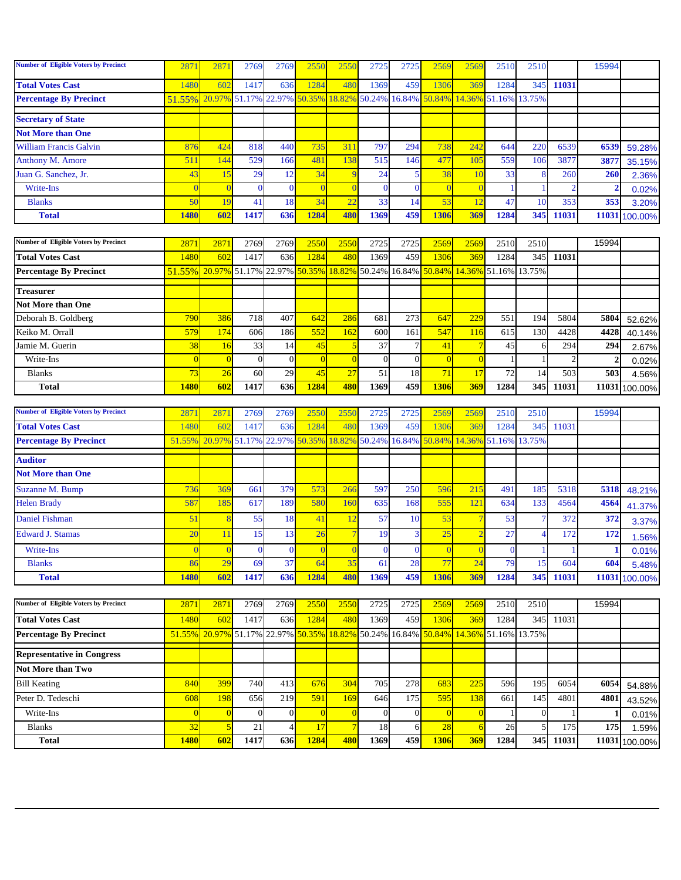| <b>Number of Eligible Voters by Precinct</b> | 2871           | 2871           | 2769                               | 2769           | 2550                 | 255(           | 2725           | 2725             | 2569                                      | 2569           | 2510          | 2510           |                | 15994          |                  |
|----------------------------------------------|----------------|----------------|------------------------------------|----------------|----------------------|----------------|----------------|------------------|-------------------------------------------|----------------|---------------|----------------|----------------|----------------|------------------|
| <b>Total Votes Cast</b>                      | 1480           | 602            | 1417                               | 636            | 1284                 | 480            | 1369           | 459              | 1306                                      | 369            | 1284          | 345            | 11031          |                |                  |
| <b>Percentage By Precinct</b>                | 51.55%         | 20.97%         | 51.17% 22.97% 50.35%               |                |                      | 18.82%         |                | 50.24% 16.84%    | 50.84%                                    | 14.36%         | 51.16% 13.75% |                |                |                |                  |
| <b>Secretary of State</b>                    |                |                |                                    |                |                      |                |                |                  |                                           |                |               |                |                |                |                  |
| <b>Not More than One</b>                     |                |                |                                    |                |                      |                |                |                  |                                           |                |               |                |                |                |                  |
| <b>William Francis Galvin</b>                | 876            | 424            | 818                                | 440            | 735                  | 311            | 797            | 294              | 738                                       | 242            | 644           | 220            | 6539           | 6539           | 59.28%           |
| Anthony M. Amore                             | 511            | 144            | 529                                | 166            | 481                  | 138            | 515            | 146              | 477                                       | 105            | 559           | 106            | 3877           | 3877           | 35.15%           |
| Juan G. Sanchez, Jr.                         | 43             | 15             | 29                                 | 12             | 34                   | 9              | 24             | 5                | 38                                        | <b>10</b>      | 33            | 8              | 260            | 260            | 2.36%            |
| Write-Ins                                    | $\overline{0}$ | $\overline{0}$ | $\mathbf{0}$                       | $\mathbf{0}$   | $\overline{0}$       | $\Omega$       | $\Omega$       | $\mathbf{0}$     |                                           | $\Omega$       |               |                | -2             | $\overline{2}$ | 0.02%            |
| <b>Blanks</b>                                | 50             | 19             | 41                                 | 18             | 34                   | 22             | 33             | 14               | 53                                        | 12             | 47            | 10             | 353            | 353            | 3.20%            |
| <b>Total</b>                                 | 1480           | 602            | 1417                               | 636            | 1284                 | 480            | 1369           | 459              | 1306                                      | 369            | 1284          | 345            | 11031          | 11031          | 100.00%          |
|                                              |                |                |                                    |                |                      |                |                |                  |                                           |                |               |                |                |                |                  |
| <b>Number of Eligible Voters by Precinct</b> | 2871           | 2871           | 2769                               | 2769           | 2550                 | 2550           | 2725           | 2725             | 2569                                      | 2569           | 2510          | 2510           |                | 15994          |                  |
| <b>Total Votes Cast</b>                      | 1480           | 602            | 1417                               | 636            | 1284                 | <b>480</b>     | 1369           | 459              | 1306                                      | 369            | 1284          | 345            | 11031          |                |                  |
| <b>Percentage By Precinct</b>                | 51.55%         | 20.97%         | 51.17%                             |                | 22.97% 50.35% 18.82% |                | 50.24%         | 16.84%           | 50.84%                                    | 14.36%         | 51.16% 13.75% |                |                |                |                  |
| <b>Treasurer</b>                             |                |                |                                    |                |                      |                |                |                  |                                           |                |               |                |                |                |                  |
| <b>Not More than One</b>                     |                |                |                                    |                |                      |                |                |                  |                                           |                |               |                |                |                |                  |
| Deborah B. Goldberg                          | 790            | 386            | 718                                | 407            | 642                  | 286            | 681            | 273              | 647                                       | 229            | 551           | 194            | 5804           | 5804           | 52.62%           |
| Keiko M. Orrall                              | 579            | 174            | 606                                | 186            | 552                  | 162            | 600            | 161              | 547                                       | 116            | 615           | 130            | 4428           | 4428           | 40.14%           |
| Jamie M. Guerin                              | 38             | 16             | 33                                 | 14             | 45                   | 5              | 37             | $\tau$           | 41                                        |                | 45            | 6              | 294            | 294            | 2.67%            |
| Write-Ins                                    | $\overline{0}$ | $\overline{0}$ | $\mathbf{0}$                       | $\overline{0}$ | $\overline{0}$       | $\overline{0}$ | $\Omega$       | $\boldsymbol{0}$ | $\overline{0}$                            | $\overline{0}$ |               |                | $\overline{2}$ | $\overline{2}$ | 0.02%            |
| <b>Blanks</b>                                | 73             | 26             | 60                                 | 29             | 45                   | 27             | 51             | 18               | 71                                        | 17             | 72            | 14             | 503            | 503            | 4.56%            |
| <b>Total</b>                                 | <b>1480</b>    | 602            | 1417                               | 636            | 1284                 | 480            | 1369           | 459              | 1306                                      | 369            | 1284          | 345            | 11031          | 11031          | 100.00%          |
| <b>Number of Eligible Voters by Precinct</b> | 2871           | 287            | 2769                               | 2769           | 255(                 | 255            | 2725           | 2725             | 2569                                      | 2569           | 2510          | 2510           |                | 15994          |                  |
| <b>Total Votes Cast</b>                      | 1480           | 602            | 1417                               | 636            | 1284                 | 480            | 1369           | 459              | 130 <sub>6</sub>                          | 369            | 1284          | 345            | 11031          |                |                  |
| <b>Percentage By Precinct</b>                | 51.55%         | 20.97%         | 51.17%                             | 22.97% 50.35%  |                      | 18.82%         | 50.24%         | 16.84%           | 50.84%                                    | 14.36%         | 51.16% 13.75% |                |                |                |                  |
| <b>Auditor</b>                               |                |                |                                    |                |                      |                |                |                  |                                           |                |               |                |                |                |                  |
| <b>Not More than One</b>                     |                |                |                                    |                |                      |                |                |                  |                                           |                |               |                |                |                |                  |
| <b>Suzanne M. Bump</b>                       | 736            |                |                                    |                |                      |                |                |                  |                                           |                |               |                |                |                |                  |
| <b>Helen Brady</b>                           |                | 369            | 661                                |                | 573                  | 266            |                |                  | 596                                       | 215            | 491           | 185            | 5318           | 5318           |                  |
|                                              | 587            | 185            | 617                                | 379<br>189     | 580                  | 160            | 597<br>635     | 250<br>168       | 555                                       | 121            | 634           | 133            | 4564           | 4564           | 48.21%           |
| <b>Daniel Fishman</b>                        | 51             | $\overline{8}$ | 55                                 | 18             | 41                   | 12             | 57             | 10               | 53                                        |                | 53            | $\overline{7}$ | 372            | 372            | 41.37%           |
| <b>Edward J. Stamas</b>                      | 20             | 11             | 15                                 | 13             | 26                   |                | 19             | 3                | 25                                        | $\overline{2}$ | 27            | $\overline{4}$ | 172            | 172            | 3.37%            |
| Write-Ins                                    | $\bf{0}$       | $\Omega$       | $\bf{0}$                           | $\overline{0}$ | $\mathbf{0}$         | $\mathbf{0}$   | $\bf{0}$       | $\bf{0}$         | $\overline{0}$                            | $\overline{0}$ | $\bf{0}$      |                |                |                | 1.56%            |
| <b>Blanks</b>                                | 86             | 29             | 69                                 | 37             | 64                   | 35             | 61             | 28               | 77                                        | 24             | 79            | 15             | 604            | 1<br>604       | 0.01%            |
| <b>Total</b>                                 | 1480           | 602            | 1417                               | 636            | 1284                 | 480            | 1369           | 459              | 1306                                      | 369            | 1284          | 345            | 11031          | 11031          | 5.48%<br>100.00% |
|                                              |                |                |                                    |                |                      |                |                |                  |                                           |                |               |                |                |                |                  |
| <b>Number of Eligible Voters by Precinct</b> | 2871           | 2871           | 2769                               | 2769           | 2550                 | 2550           | 2725           | 2725             | 2569                                      | 2569           | 2510          | 2510           |                | 15994          |                  |
| <b>Total Votes Cast</b>                      | 1480           | 602            | 1417                               | 636            | 1284                 | <b>480</b>     | 1369           | 459              | 1306                                      | 369            | 1284          | 345            | 11031          |                |                  |
| <b>Percentage By Precinct</b>                | 51.55%         |                | 20.97% 51.17% 22.97% 50.35% 18.82% |                |                      |                |                |                  | 50.24% 16.84% 50.84% 14.36% 51.16% 13.75% |                |               |                |                |                |                  |
| <b>Representative in Congress</b>            |                |                |                                    |                |                      |                |                |                  |                                           |                |               |                |                |                |                  |
| <b>Not More than Two</b>                     |                |                |                                    |                |                      |                |                |                  |                                           |                |               |                |                |                |                  |
| <b>Bill Keating</b>                          | 840            | 399            | 740                                | 413            | 676                  | 304            | 705            | 278              | 683                                       | 225            | 596           | 195            | 6054           | 6054           | 54.88%           |
| Peter D. Tedeschi                            | 608            | 198            | 656                                | 219            | 591                  | 169            | 646            | 175              | 595                                       | 138            | 661           | 145            | 4801           | 4801           | 43.52%           |
| Write-Ins                                    | $\overline{0}$ | $\overline{0}$ | $\mathbf{0}$                       | $\overline{0}$ | $\overline{0}$       | $\overline{0}$ | $\overline{0}$ | $\boldsymbol{0}$ | C                                         | $\mathbf{0}$   |               | $\mathbf{0}$   |                | 1              | 0.01%            |
| <b>Blanks</b>                                | 32             | 5              | $21\,$                             | $\overline{4}$ | 17                   | $\overline{7}$ | 18             | 6                | 28                                        | 6              | 26            | 5              | 175            | 175            | 1.59%            |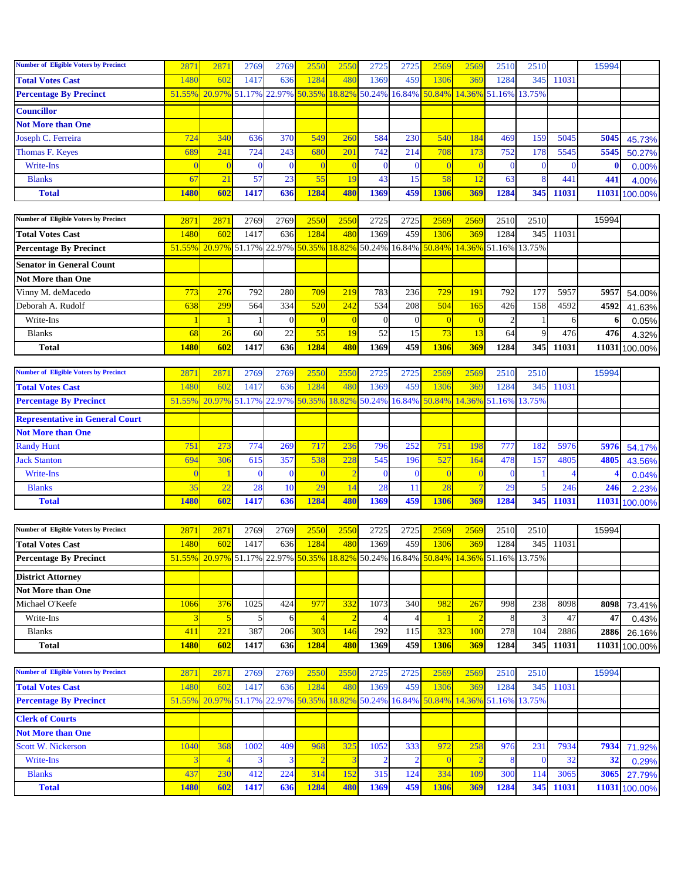| <b>Number of Eligible Voters by Precinct</b> | 2871 | 2871 | 2769 | 2769             | 2550 | 255(            | 2725 | 2725 | 2569 | 2569 | 2510 | 2510                                                                                |                 | 15994 |               |
|----------------------------------------------|------|------|------|------------------|------|-----------------|------|------|------|------|------|-------------------------------------------------------------------------------------|-----------------|-------|---------------|
| <b>Total Votes Cast</b>                      | 1480 | 602  | 1417 | 636              | 1284 | 48 <sup>1</sup> | 1369 | 459  | 1306 | 369  | 1284 | 345                                                                                 | 11031           |       |               |
| <b>Percentage By Precinct</b>                |      |      |      |                  |      |                 |      |      |      |      |      | 51.55% 20.97% 51.17% 22.97% 50.35% 18.82% 50.24% 16.84% 50.84% 14.36% 51.16% 13.75% |                 |       |               |
| <b>Councillor</b>                            |      |      |      |                  |      |                 |      |      |      |      |      |                                                                                     |                 |       |               |
| <b>Not More than One</b>                     |      |      |      |                  |      |                 |      |      |      |      |      |                                                                                     |                 |       |               |
| Joseph C. Ferreira                           | 724  | 340  | 636  | 370 <sup> </sup> | 549  | 260             | 584  | 230  | 540  | 184  | 469  | 159                                                                                 | 5045            | 5045  | 45.73%        |
| Thomas F. Keyes                              | 689  | 241  | 7241 | 243              | 680  | 20              | 742  | 214  | 708  | 173  | 752  | 178                                                                                 | 5545            | 5545  | 50.27%        |
| Write-Ins                                    |      |      |      |                  |      |                 |      |      |      |      |      |                                                                                     |                 |       | 0.00%         |
| <b>Blanks</b>                                | 67   | 21   | 57   | 23               | 55   |                 | 43   | 15   | 58   |      | 63   |                                                                                     | 44 <sup>°</sup> | 441   | 4.00%         |
| <b>Total</b>                                 | 1480 | 602  | 1417 | <b>636</b>       | 1284 | 480             | 1369 | 459  | 1306 | 369  | 1284 | 345                                                                                 | 11031           |       | 11031 100.00% |

| <b>Number of Eligible Voters by Precinct</b> | 2871        | 2871                                                                                                                               | 2769 | 2769 | 2550 | 2550 | 2725 | 2725 | 2569 | 2569 | 2510         | 2510 |       | 15994 |               |
|----------------------------------------------|-------------|------------------------------------------------------------------------------------------------------------------------------------|------|------|------|------|------|------|------|------|--------------|------|-------|-------|---------------|
| <b>Total Votes Cast</b>                      | 1480        | 602                                                                                                                                | 1417 | 636  | 1284 | 480  | 1369 | 459  | 1306 | 369  | 1284         | 345  | 11031 |       |               |
| <b>Percentage By Precinct</b>                |             | $\frac{51.55\%}{20.97\%}\$ 51.17% 22.97% $\frac{50.35\%}{18.82\%}\$ 50.24% 16.84% $\frac{50.84\%}{150.84\%}\$ 14.36% 51.16% 13.75% |      |      |      |      |      |      |      |      |              |      |       |       |               |
| <b>Senator in General Count</b>              |             |                                                                                                                                    |      |      |      |      |      |      |      |      |              |      |       |       |               |
| Not More than One                            |             |                                                                                                                                    |      |      |      |      |      |      |      |      |              |      |       |       |               |
| Vinny M. deMacedo                            | 773         | 276                                                                                                                                | 792  | 280  | 709  | 219  | 783  | 236  | 729  | 191  | 792 <b>1</b> |      | 5957  | 5957  | 54.00%        |
| Deborah A. Rudolf                            | 638         | 299                                                                                                                                | 564  | 334  | 520  | 242  | 534  | 208  | 504  | 165  | 426          | 158  | 4592  | 4592  | 41.63%        |
| Write-Ins                                    |             |                                                                                                                                    |      |      |      |      |      |      |      |      |              |      |       |       | 0.05%         |
| <b>Blanks</b>                                | <b>68</b>   | 26                                                                                                                                 | 60   | 22   |      |      | 52   | 15   | 73   |      | 64           |      | 476   | 476   | 4.32%         |
| <b>Total</b>                                 | <b>1480</b> | 602                                                                                                                                | 1417 | 636l | 1284 | 480  | 1369 | 459  | 1306 | 369  | 1284         | 345  | 11031 |       | 11031 100.00% |

| <b>Number of Eligible Voters by Precinct</b> | 287  | 287                                                                                 | 2769 | 2769 | 2550 | 255 | 2725 | 2725 | 2569       | 2569 | 2510 | 2510 |       | 15994 |               |
|----------------------------------------------|------|-------------------------------------------------------------------------------------|------|------|------|-----|------|------|------------|------|------|------|-------|-------|---------------|
| <b>Total Votes Cast</b>                      | 1480 | 602                                                                                 | 1417 | 636  | 1284 | 48  | 1369 | 459  | 1306       | 369  | 1284 | 345  | 11031 |       |               |
| <b>Percentage By Precinct</b>                |      | 51.55% 20.97% 51.17% 22.97% 50.35% 18.82% 50.24% 16.84% 50.84% 14.36% 51.16% 13.75% |      |      |      |     |      |      |            |      |      |      |       |       |               |
| <b>Representative in General Court</b>       |      |                                                                                     |      |      |      |     |      |      |            |      |      |      |       |       |               |
| <b>Not More than One</b>                     |      |                                                                                     |      |      |      |     |      |      |            |      |      |      |       |       |               |
| <b>Randy Hunt</b>                            | 751  | 273                                                                                 | 774. | 269  | 717  | 236 | 796  | 252  | 751        | 198  | 777  | 182  | 5976  | 5976  | 54.17%        |
| <b>Jack Stanton</b>                          | 694  | 306                                                                                 | 615  | 357  | 538  | 228 | 545  | 196  | 527        | 164  | 478  | 157  | 4805  | 4805  | 43.56%        |
| Write-Ins                                    |      |                                                                                     |      |      |      |     |      |      |            |      |      |      |       |       | 0.04%         |
| <b>Blanks</b>                                | 35   | 22                                                                                  | 28   | 10   | 29   |     | 28   |      | 28         |      | 29   |      | 246   | 246   | 2.23%         |
| <b>Total</b>                                 | 1480 | 602                                                                                 | 1417 | 636  | 1284 | 480 | 1369 | 459  | <b>130</b> | 369  | 1284 | 345  | 11031 |       | 11031 100.00% |

| <b>Number of Eligible Voters by Precinct</b> | 2871        | 2871                                                                                                                               | 2769 | 2769             | 2550 | 2550 | 2725 | 2725             | 2569          | 2569 | 2510 | 2510             |       | 15994 |               |
|----------------------------------------------|-------------|------------------------------------------------------------------------------------------------------------------------------------|------|------------------|------|------|------|------------------|---------------|------|------|------------------|-------|-------|---------------|
| <b>Total Votes Cast</b>                      | 1480        | 602                                                                                                                                | 1417 | 636              | 1284 | 480  | 1369 | 459 <sub>I</sub> | 1306 <b>1</b> | 369  | 1284 | 345              | 11031 |       |               |
| <b>Percentage By Precinct</b>                |             | $\frac{51.55\%}{20.97\%}\$ 51.17% 22.97% $\frac{50.35\%}{18.82\%}\$ 50.24% 16.84% $\frac{50.84\%}{150.84\%}\$ 14.36% 51.16% 13.75% |      |                  |      |      |      |                  |               |      |      |                  |       |       |               |
| <b>District Attorney</b>                     |             |                                                                                                                                    |      |                  |      |      |      |                  |               |      |      |                  |       |       |               |
| <b>Not More than One</b>                     |             |                                                                                                                                    |      |                  |      |      |      |                  |               |      |      |                  |       |       |               |
| Michael O'Keefe                              | 1066        | 376                                                                                                                                | 1025 | 424              | 977  | 332  | 1073 | 340              | <b>982</b>    | 267  | 998  | 238              | 8098  | 8098  | 73.41%        |
| Write-Ins                                    |             |                                                                                                                                    |      |                  |      |      |      |                  |               |      |      |                  | 47    | 47    | 0.43%         |
| <b>Blanks</b>                                | 41          | 221                                                                                                                                | 387  | 206              | 303  | 146  | 292  | 115              | 323           | 100  | 278  | 104 <sup>1</sup> | 2886  | 2886  | 26.16%        |
| <b>Total</b>                                 | <b>1480</b> | 602                                                                                                                                | 1417 | 636 <sup> </sup> | 1284 | 480  | 1369 | 459 l            | 1306l         | 369  | 1284 | 345I             | 11031 |       | 11031 100.00% |

| <b>Number of Eligible Voters by Precinct</b> | 287  | 2871                                                                                | 2769 | 2769 <sup> </sup> | 2550                   | 2550 | 2725 | 2725 | 2569 | 2569                                                                                                                  | 2510 | 2510         |       | 15994           |               |
|----------------------------------------------|------|-------------------------------------------------------------------------------------|------|-------------------|------------------------|------|------|------|------|-----------------------------------------------------------------------------------------------------------------------|------|--------------|-------|-----------------|---------------|
| <b>Total Votes Cast</b>                      | 1480 | 602                                                                                 | 1417 | 636               | 284                    | 480  | 1369 | 459  | 1306 | 369                                                                                                                   | 1284 | 345          | 11031 |                 |               |
| <b>Percentage By Precinct</b>                |      | 51.55% 20.97% 51.17% 22.97% 50.35% 18.82% 50.24% 16.84% 50.84% 14.36% 51.16% 13.75% |      |                   |                        |      |      |      |      |                                                                                                                       |      |              |       |                 |               |
| <b>Clerk of Courts</b>                       |      |                                                                                     |      |                   | <b>Service Service</b> |      |      |      |      | <b>Contract Contract Contract Contract Contract Contract Contract Contract Contract Contract Contract Contract Co</b> |      |              |       |                 |               |
| <b>Not More than One</b>                     |      |                                                                                     |      |                   |                        |      |      |      |      |                                                                                                                       |      |              |       |                 |               |
| <b>Scott W. Nickerson</b>                    | 1040 | 368                                                                                 | 1002 | 409               | 968                    | 325  | 1052 | 333  | 972  | 258                                                                                                                   | 976  | $23^{\circ}$ | 7934  | 7934            | 71.92%        |
| Write-Ins                                    |      |                                                                                     |      |                   |                        |      |      |      |      |                                                                                                                       |      |              | 32    | 32 <sub>1</sub> | 0.29%         |
| <b>Blanks</b>                                | 437  | 230                                                                                 | 412  | 224               | 314                    | 152  | 315  | 124  | 334  | 10 <sup>c</sup>                                                                                                       | 300  | 114          | 3065  | 3065            | 27.79%        |
| <b>Total</b>                                 | 1480 | 602                                                                                 | 1417 | 636               | 1284                   | 480  | 1369 | 459  | 1306 | 369                                                                                                                   | 1284 | 345          | 11031 |                 | 11031 100.00% |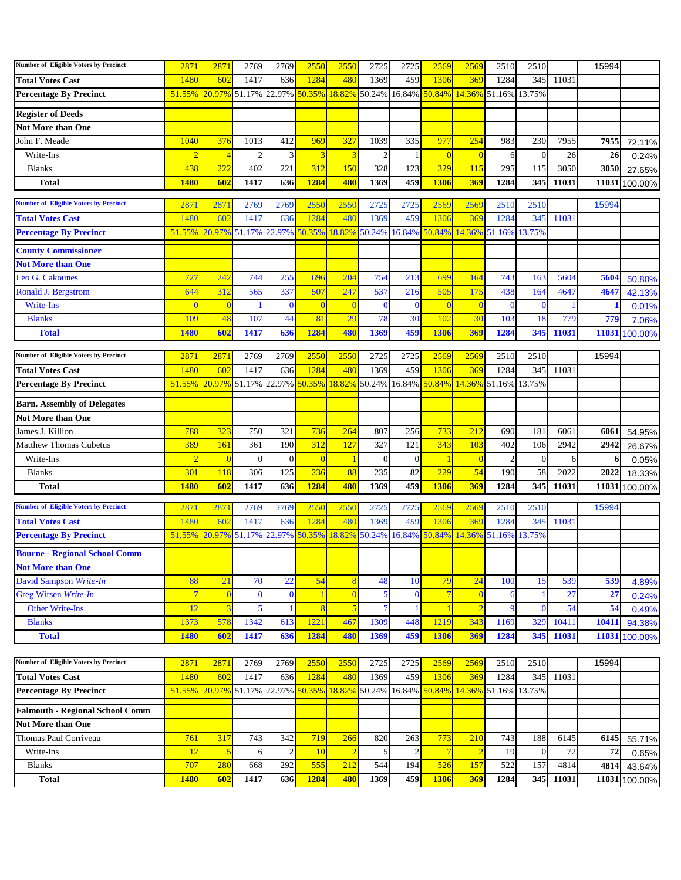| <b>Number of Eligible Voters by Precinct</b> | 2871           | 2871           | 2769                               | 2769           | 2550           | 2550           | 2725           | 2725                 | 2569            | 2569                        | 2510   | 2510           |           | 15994 |               |
|----------------------------------------------|----------------|----------------|------------------------------------|----------------|----------------|----------------|----------------|----------------------|-----------------|-----------------------------|--------|----------------|-----------|-------|---------------|
| <b>Total Votes Cast</b>                      | 1480           | 602            | 1417                               | 636            | 1284           | 480            | 1369           | 459                  | 1306            | 369                         | 1284   | 345            | 11031     |       |               |
| <b>Percentage By Precinct</b>                | 51.55%         |                | 20.97% 51.17% 22.97%               |                | 50.35%         |                |                | 18.82% 50.24% 16.84% |                 | 50.84% 14.36% 51.16% 13.75% |        |                |           |       |               |
| <b>Register of Deeds</b>                     |                |                |                                    |                |                |                |                |                      |                 |                             |        |                |           |       |               |
| <b>Not More than One</b>                     |                |                |                                    |                |                |                |                |                      |                 |                             |        |                |           |       |               |
| John F. Meade                                | 1040           | 376            | 1013                               | 412            | 969            | 327            | 1039           | 335                  | 977             | 254                         | 983    | 230            | 7955      | 7955  | 72.11%        |
| Write-Ins                                    | $\overline{2}$ | $\overline{4}$ | $\overline{c}$                     | 3              |                | 3              | $\overline{c}$ | $\mathbf{1}$         | $\overline{0}$  | $\overline{0}$              | 6      | $\overline{0}$ | 26        | 26    | 0.24%         |
| <b>Blanks</b>                                | 438            | 222            | 402                                | 221            | 312            | 150            | 328            | 123                  | 329             | 115                         | 295    | 115            | 3050      | 3050  | 27.65%        |
| <b>Total</b>                                 | <b>1480</b>    | 602            | 1417                               | 636            | 1284           | 480            | 1369           | 459                  | 1306            | 369                         | 1284   | 345            | 11031     |       | 11031 100.00% |
|                                              |                |                |                                    |                |                |                |                |                      |                 |                             |        |                |           |       |               |
| <b>Number of Eligible Voters by Precinct</b> | 2871           | 2871           | 2769                               | 2769           | 2550           | 2550           | 2725           | 2725                 | 2569            | 2569                        | 2510   | 2510           |           | 15994 |               |
| <b>Total Votes Cast</b>                      | 1480           | 602            | 1417                               | 636            | 1284           | 480            | 1369           | 459                  | 1306            | 369                         | 1284   | 345            | 11031     |       |               |
| <b>Percentage By Precinct</b>                | 51.55%         |                | 20.97% 51.17%                      | 22.97%         | 50.35%         | 18.82% 50.24%  |                | 16.84%               |                 | 50.84% 14.36%               | 51.16% | 13.75%         |           |       |               |
| <b>County Commissioner</b>                   |                |                |                                    |                |                |                |                |                      |                 |                             |        |                |           |       |               |
| <b>Not More than One</b>                     |                |                |                                    |                |                |                |                |                      |                 |                             |        |                |           |       |               |
| Leo G. Cakounes                              | 727            | 242            | 744                                | 255            | 696            | 204            | 754            | 213                  | 699             | 164                         | 743    | 163            | 5604      | 5604  | 50.80%        |
| Ronald J. Bergstrom                          | 644            | 312            | 565                                | 337            | 507            | 247            | 537            | 216                  | 505             | 175                         | 438    | 164            | 4647      | 4647  | 42.13%        |
| Write-Ins                                    | $\Omega$       |                |                                    | $\bf{0}$       | -0             |                | $\Omega$       | $\bf{0}$             |                 | $\overline{0}$              |        | $\mathbf{0}$   |           |       | 0.01%         |
| <b>Blanks</b>                                | 109            | 48             | 107                                | 44             | 81             | 29             | 78             | 30                   | 102             | 30                          | 103    | 18             | 779       | 779   | 7.06%         |
| <b>Total</b>                                 | 1480           | 602            | 1417                               | 636            | 1284           | 480            | 1369           | 459                  | 1306            | 369                         | 1284   | 345            | 11031     |       | 11031 100.00% |
| Number of Eligible Voters by Precinct        | 2871           | 2871           | 2769                               | 2769           | 2550           | 2550           | 2725           | 2725                 | 2569            | 2569                        | 2510   | 2510           |           | 15994 |               |
| <b>Total Votes Cast</b>                      | 1480           | 602            | 1417                               | 636            | 1284           | 480            | 1369           | 459                  | 1306            | 369                         | 1284   | 345            | 11031     |       |               |
| <b>Percentage By Precinct</b>                | 51.55%         |                | 20.97% 51.17%                      | 22.97%         | 50.35%         | 18.82%         |                | 50.24% 16.84%        | 50.84% 14.36%   |                             | 51.16% | 13.75%         |           |       |               |
|                                              |                |                |                                    |                |                |                |                |                      |                 |                             |        |                |           |       |               |
| <b>Barn. Assembly of Delegates</b>           |                |                |                                    |                |                |                |                |                      |                 |                             |        |                |           |       |               |
| <b>Not More than One</b>                     |                |                |                                    |                |                |                |                |                      |                 |                             |        |                |           |       |               |
| James J. Killion                             | 788            | 323            | 750                                | 321            | 736            | 264            | 807            | 256                  | 733             | 212                         | 690    | 181            | 6061      | 6061  | 54.95%        |
| <b>Matthew Thomas Cubetus</b>                | 389            | 161            | 361                                | 190            | 312            | 127            | 327            | 121                  | 343             | 103                         | 402    | 106            | 2942      | 2942  | 26.67%        |
| Write-Ins                                    | $\overline{2}$ | $\bf{0}$       | $\overline{0}$                     | $\mathbf{0}$   | $\overline{0}$ |                | $\mathbf{0}$   | $\mathbf{0}$         |                 | $\overline{0}$              |        | $\theta$       | 6         |       | 0.05%         |
| <b>Blanks</b>                                | 301            | 118            | 306                                | 125            | 236            | 88             | 235            | 82                   | 229             | 54                          | 190    | 58             | 2022      | 2022  | 18.33%        |
| <b>Total</b>                                 | <b>1480</b>    | 602            | 1417                               | 636            | 1284           | 480            | 1369           | 459                  | 1306            | 369                         | 1284   | 345            | 11031     | 11031 | 100.00%       |
| <b>Number of Eligible Voters by Precinct</b> | 2871           | 2871           | 2769                               | 2769           | 2550           | 2550           | 2725           | 2725                 | 2569            | 2569                        | 2510   | 2510           |           | 15994 |               |
| <b>Total Votes Cast</b>                      | 1480           | 602            | 1417                               | 636            | 1284           | 480            | 1369           | 459                  | 1306            | 369                         | 1284   | 345            | 11031     |       |               |
| <b>Percentage By Precinct</b>                | 51.55%         | 20.97% 51.17%  |                                    | 22.97%         | 50.35%         | 18.82% 50.24%  |                | 16.84%               |                 | 50.84% 14.36%               | 51.16% | 13.75%         |           |       |               |
| <b>Bourne - Regional School Comm</b>         |                |                |                                    |                |                |                |                |                      |                 |                             |        |                |           |       |               |
| <b>Not More than One</b>                     |                |                |                                    |                |                |                |                |                      |                 |                             |        |                |           |       |               |
| David Sampson Write-In                       | 88             | 21             | 70                                 | 22             | 54             | 8              | 48             | 10                   | 79              | 24                          | 100    | 15             | 539       | 539   | 4.89%         |
| Greg Wirsen Write-In                         | $\overline{7}$ |                | $\bf{0}$                           | $\bf{0}$       |                | $\bf{0}$       | 5              | $\bf{0}$             | $7\phantom{.0}$ | $\overline{0}$              |        |                | 27        | 27    | 0.24%         |
| <b>Other Write-Ins</b>                       | 12             |                | 5                                  |                |                | 5              |                |                      |                 | $\overline{2}$              | -9     | $\Omega$       | 54        | 54    | 0.49%         |
| <b>Blanks</b>                                | 1373           | 578            | 1342                               | 613            | 1221           | 467            | 1309           | 448                  | 1219            | 343                         | 1169   | 329            | 10411     | 10411 | 94.38%        |
| <b>Total</b>                                 | 1480           | 602            | 1417                               | 636            | 1284           | 480            | 1369           | 459                  | 1306            | 369                         | 1284   | 345            | 11031     | 11031 | 100.00%       |
|                                              |                |                |                                    |                |                |                |                |                      |                 |                             |        |                |           |       |               |
| <b>Number of Eligible Voters by Precinct</b> | 2871           | 2871           | 2769                               | 2769           | 2550           | 2550           | 2725           | 2725                 | 2569            | 2569                        | 2510   | 2510           |           | 15994 |               |
| <b>Total Votes Cast</b>                      | 1480           | 602            | 1417                               | 636            | 1284           | 480            | 1369           | 459                  | 1306            | 369                         | 1284   |                | 345 11031 |       |               |
| <b>Percentage By Precinct</b>                | 51.55%         |                | 20.97% 51.17% 22.97% 50.35% 18.82% |                |                |                |                | 50.24% 16.84%        |                 | 50.84% 14.36% 51.16% 13.75% |        |                |           |       |               |
| <b>Falmouth - Regional School Comm</b>       |                |                |                                    |                |                |                |                |                      |                 |                             |        |                |           |       |               |
| <b>Not More than One</b>                     |                |                |                                    |                |                |                |                |                      |                 |                             |        |                |           |       |               |
| Thomas Paul Corriveau                        | 761            | 317            | 743                                | 342            | 719            | 266            | 820            | 263                  | 773             | 210                         | 743    | 188            | 6145      | 6145  | 55.71%        |
| Write-Ins                                    | 12             | $\overline{5}$ | 6                                  | $\overline{c}$ | 10             | $\overline{2}$ | 5              | $\mathbf{2}$         | $\overline{7}$  | $\overline{2}$              | 19     | $\mathbf{0}$   | 72        | 72    | 0.65%         |
| <b>Blanks</b>                                | 707            | 280            | 668                                | 292            | 555            | 212            | 544            | 194                  | 526             | 157                         | 522    | 157            | 4814      | 4814  | 43.64%        |
| <b>Total</b>                                 | <b>1480</b>    | 602            | 1417                               | 636            | 1284           | 480            | 1369           | 459                  | <b>1306</b>     | 369                         | 1284   | 345            | 11031     |       | 11031 100.00% |